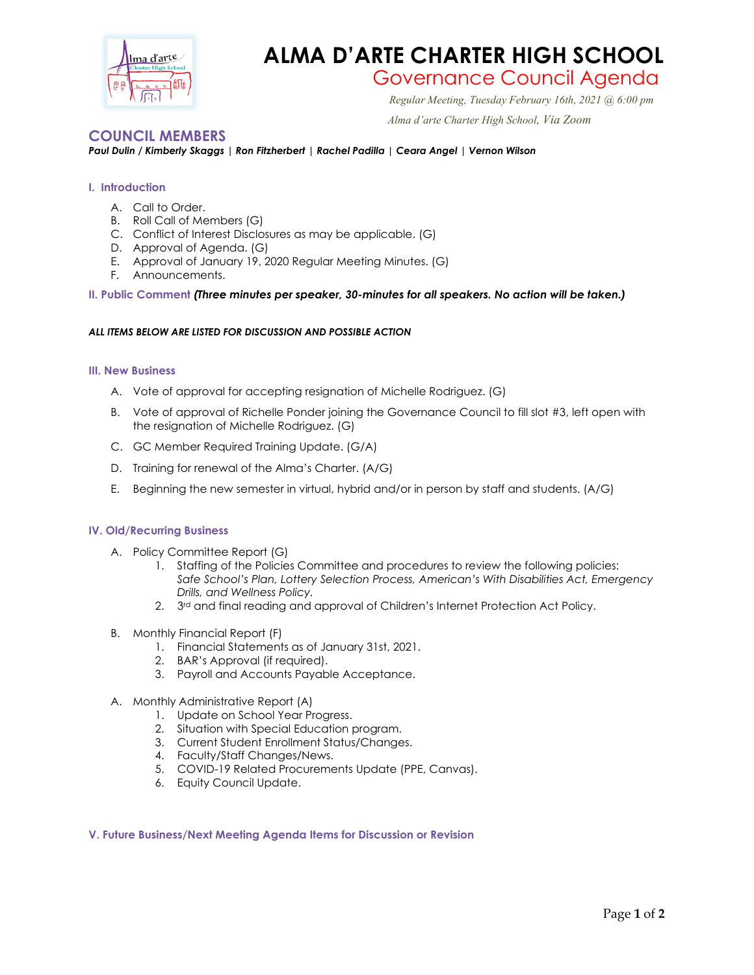

# **ALMA D'ARTE CHARTER HIGH SCHOOL**

# Governance Council Agenda *Regular Meeting, Tuesday February 16th, 2021 @ 6:00 pm*

 *Alma d'arte Charter High School, Via Zoom*

# **COUNCIL MEMBERS**

#### *Paul Dulin / Kimberly Skaggs | Ron Fitzherbert | Rachel Padilla | Ceara Angel | Vernon Wilson*

#### **I. Introduction**

- A. Call to Order.
- B. Roll Call of Members (G)
- C. Conflict of Interest Disclosures as may be applicable. (G)
- D. Approval of Agenda. (G)
- E. Approval of January 19, 2020 Regular Meeting Minutes. (G)
- F. Announcements.

#### **II. Public Comment** *(Three minutes per speaker, 30-minutes for all speakers. No action will be taken.)*

#### *ALL ITEMS BELOW ARE LISTED FOR DISCUSSION AND POSSIBLE ACTION*

#### **III. New Business**

- A. Vote of approval for accepting resignation of Michelle Rodriguez. (G)
- B. Vote of approval of Richelle Ponder joining the Governance Council to fill slot #3, left open with the resignation of Michelle Rodriguez. (G)
- C. GC Member Required Training Update. (G/A)
- D. Training for renewal of the Alma's Charter. (A/G)
- E. Beginning the new semester in virtual, hybrid and/or in person by staff and students. (A/G)

#### **IV. Old/Recurring Business**

- A. Policy Committee Report (G)
	- 1. Staffing of the Policies Committee and procedures to review the following policies: *Safe School's Plan, Lottery Selection Process, American's With Disabilities Act, Emergency Drills, and Wellness Policy.*
	- 2. 3<sup>rd</sup> and final reading and approval of Children's Internet Protection Act Policy.
- B. Monthly Financial Report (F)
	- 1. Financial Statements as of January 31st, 2021.
	- 2. BAR's Approval (if required).
	- 3. Payroll and Accounts Payable Acceptance.
- A. Monthly Administrative Report (A)
	- 1. Update on School Year Progress.
	- 2. Situation with Special Education program.
	- 3. Current Student Enrollment Status/Changes.
	- 4. Faculty/Staff Changes/News.
	- 5. COVID-19 Related Procurements Update (PPE, Canvas).
	- 6. Equity Council Update.

#### **V. Future Business/Next Meeting Agenda Items for Discussion or Revision**